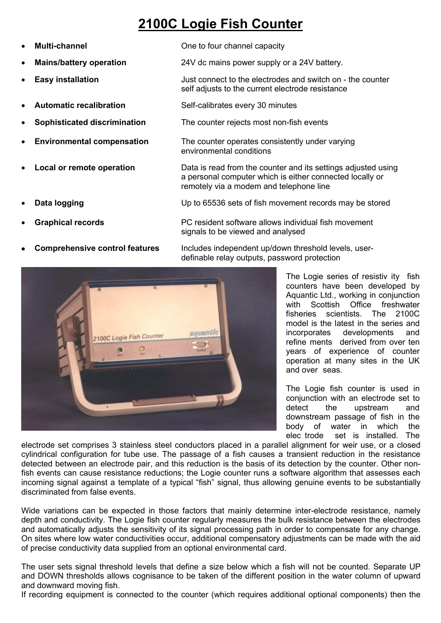## **2100C Logie Fish Counter**

| $\bullet$ | <b>Multi-channel</b>                  | One to four channel capacity                                                                                                                                         |                                                                                                                                                      |  |
|-----------|---------------------------------------|----------------------------------------------------------------------------------------------------------------------------------------------------------------------|------------------------------------------------------------------------------------------------------------------------------------------------------|--|
| $\bullet$ | <b>Mains/battery operation</b>        | 24V dc mains power supply or a 24V battery.                                                                                                                          |                                                                                                                                                      |  |
| $\bullet$ | <b>Easy installation</b>              | Just connect to the electrodes and switch on - the counter<br>self adjusts to the current electrode resistance                                                       |                                                                                                                                                      |  |
| $\bullet$ | <b>Automatic recalibration</b>        | Self-calibrates every 30 minutes                                                                                                                                     |                                                                                                                                                      |  |
| $\bullet$ | <b>Sophisticated discrimination</b>   | The counter rejects most non-fish events                                                                                                                             |                                                                                                                                                      |  |
| $\bullet$ | <b>Environmental compensation</b>     | The counter operates consistently under varying<br>environmental conditions                                                                                          |                                                                                                                                                      |  |
| $\bullet$ | Local or remote operation             | Data is read from the counter and its settings adjusted using<br>a personal computer which is either connected locally or<br>remotely via a modem and telephone line |                                                                                                                                                      |  |
|           | Data logging                          | Up to 65536 sets of fish movement records may be stored                                                                                                              |                                                                                                                                                      |  |
| $\bullet$ | <b>Graphical records</b>              | PC resident software allows individual fish movement<br>signals to be viewed and analysed                                                                            |                                                                                                                                                      |  |
| $\bullet$ | <b>Comprehensive control features</b> | Includes independent up/down threshold levels, user-<br>definable relay outputs, password protection                                                                 |                                                                                                                                                      |  |
|           |                                       |                                                                                                                                                                      | The Logie series of resistiv ity fish<br>counters have been developed by<br>Aquantic Ltd., working in conjunction<br>with Scottish Office freshwater |  |



counters have been developed by Aquantic Ltd., working in conjunction<br>with Scottish Office freshwater Scottish Office freshwater fisheries scientists. The 2100C model is the latest in the series and incorporates developments and ndividual fish movement<br>Iysed<br>
m threshold levels, user-<br>
word protection<br>
The Logie series of resistiv ity fish<br>
counters have been developed by<br>
Aquantic Ltd., working in conjunction<br>
with Scottish Office freshwater<br>
fis years of experience of counter operation at many sites in the UK m threshold levels, user-<br>word protection<br>The Logie series of resistiv ity fish<br>counters have been developed by<br>Aquantic Ltd., working in conjunction<br>with Scottish Office freshwater<br>fisheries scientists. The 2100C<br>model is what because the accelusity. The 2100C<br>fisheries scientists. The 2100C<br>model is the latest in the series and<br>refine ments derived from over ten<br>years of experience of counter<br>operation at many sites in the UK<br>and over seas

The Logie fish counter is used in conjunction with an electrode set to detect the upstream and downstream passage of fish in the body of water in which the<br>elec\_trode set is installed. The

electrode set comprises 3 stainless steel conductors placed in a parallel alignment for weir use, or a closed cylindrical configuration for tube use. The passage of a fish causes a transient reduction in the resistance detected between an electrode pair, and this reduction is the basis of its detection by the counter. Other nonfish events can cause resistance reductions; the Logie counter runs a software algorithm that assesses each incoming signal against a template of a typical "fish" signal, thus allowing genuine events to be substantially discriminated from false events.

Wide variations can be expected in those factors that mainly determine inter-electrode resistance, namely depth and conductivity. The Logie fish counter regularly measures the bulk resistance between the electrodes and automatically adjusts the sensitivity of its signal processing path in order to compensate for any change. On sites where low water conductivities occur, additional compensatory adjustments can be made with the aid of precise conductivity data supplied from an optional environmental card.

The user sets signal threshold levels that define a size below which a fish will not be counted. Separate UP and DOWN thresholds allows cognisance to be taken of the different position in the water column of upward and downward moving fish.

If recording equipment is connected to the counter (which requires additional optional components) then the